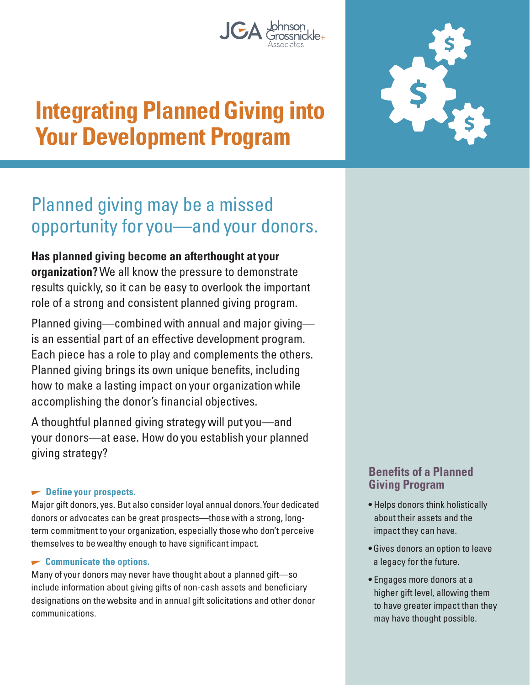# **Integrating Planned Giving into Your Development Program**

## Planned giving may be a missed opportunity for you—and your donors.

#### **Has planned giving become an afterthought at your organization?** We all know the pressure to demonstrate results quickly, so it can be easy to overlook the important role of a strong and consistent planned giving program.

Planned giving—combined with annual and major giving is an essential part of an effective development program. Each piece has a role to play and complements the others. Planned giving brings its own unique benefits, including how to make a lasting impact on your organization while accomplishing the donor's financial objectives.

A thoughtful planned giving strategy will put you—and your donors—at ease. How do you establish your planned giving strategy?

#### $\blacktriangleright$  Define your prospects.

Major gift donors, yes. But also consider loyal annual donors. Your dedicated donors or advocates can be great prospects—those with a strong, longterm commitment to your organization, especially those who don't perceive themselves to be wealthy enough to have significant impact.

#### **Communicate the options.**

Many of your donors may never have thought about a planned gift—so include information about giving gifts of non-cash assets and beneficiary designations on the website and in annual gift solicitations and other donor communications.

#### **Benefits of a Planned Giving Program**

- Helps donors think holistically about their assets and the impact they can have.
- Gives donors an option to leave a legacy for the future.
- Engages more donors at a higher gift level, allowing them to have greater impact than they may have thought possible.